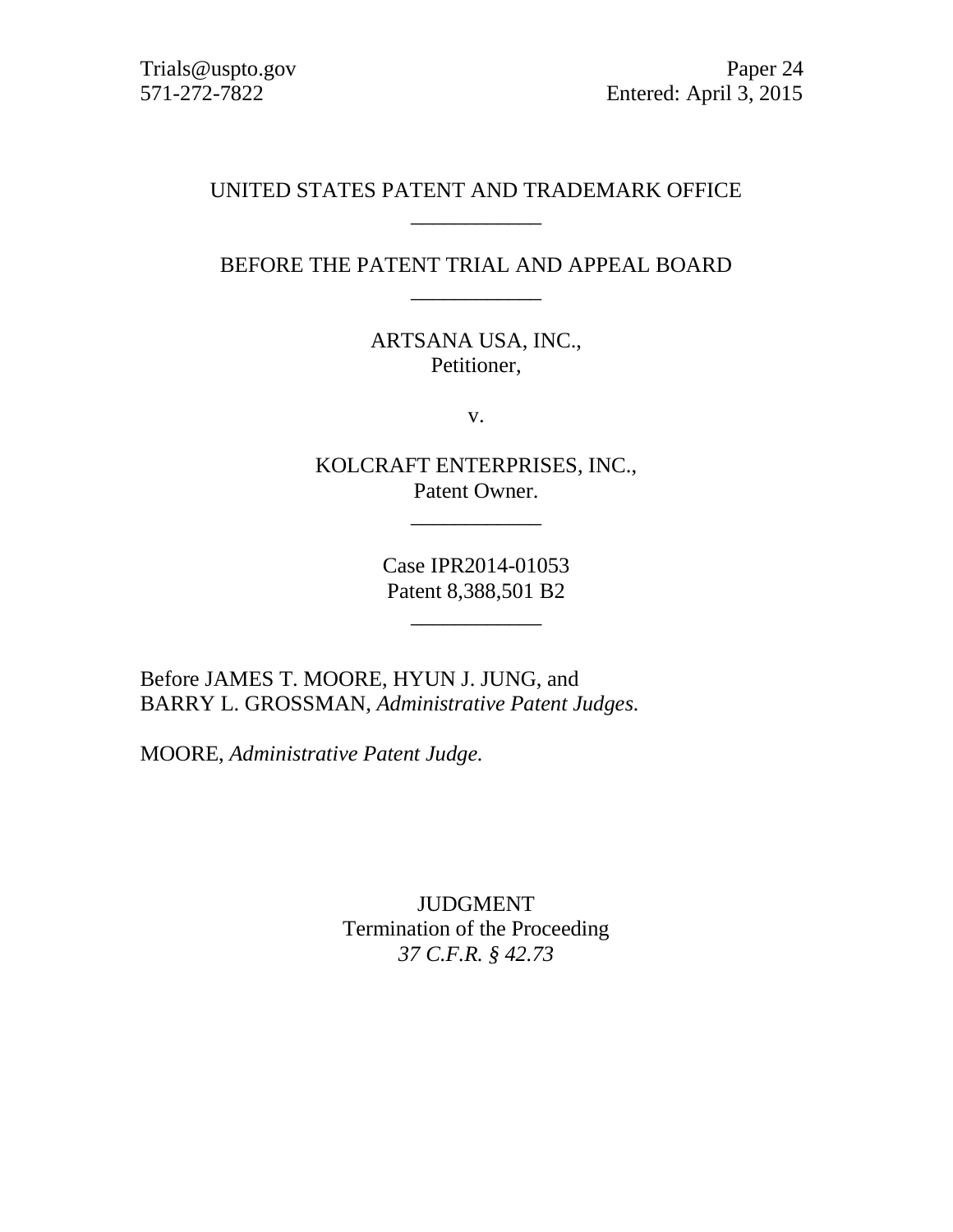# UNITED STATES PATENT AND TRADEMARK OFFICE \_\_\_\_\_\_\_\_\_\_\_\_

## BEFORE THE PATENT TRIAL AND APPEAL BOARD \_\_\_\_\_\_\_\_\_\_\_\_

ARTSANA USA, INC., Petitioner,

v.

KOLCRAFT ENTERPRISES, INC., Patent Owner.

\_\_\_\_\_\_\_\_\_\_\_\_

Case IPR2014-01053 Patent 8,388,501 B2

\_\_\_\_\_\_\_\_\_\_\_\_

Before JAMES T. MOORE, HYUN J. JUNG, and BARRY L. GROSSMAN, *Administrative Patent Judges.*

MOORE, *Administrative Patent Judge.*

JUDGMENT Termination of the Proceeding *37 C.F.R. § 42.73*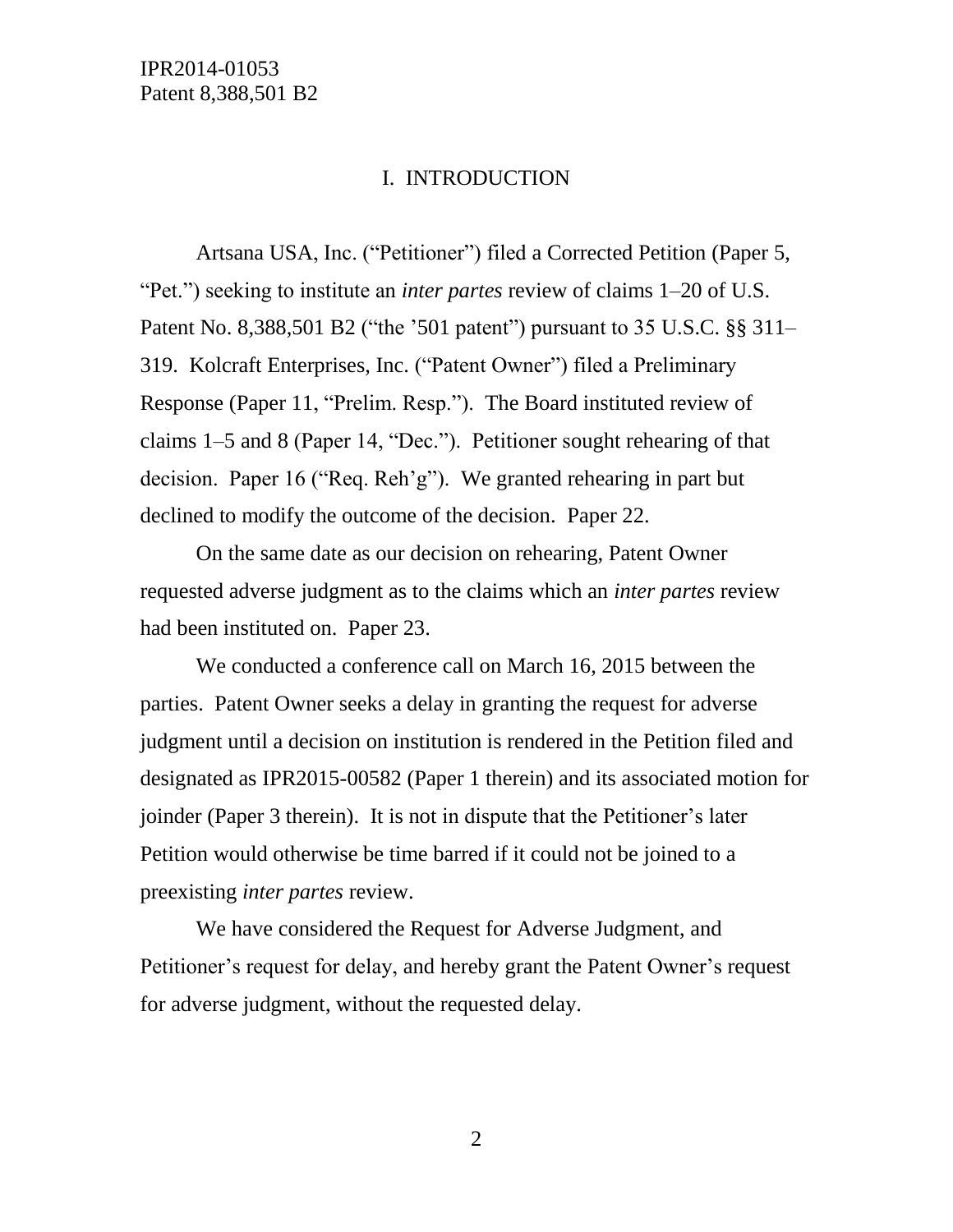### I. INTRODUCTION

Artsana USA, Inc. ("Petitioner") filed a Corrected Petition (Paper 5, "Pet.") seeking to institute an *inter partes* review of claims 1–20 of U.S. Patent No. 8,388,501 B2 ("the '501 patent") pursuant to 35 U.S.C. §§ 311– 319. Kolcraft Enterprises, Inc. ("Patent Owner") filed a Preliminary Response (Paper 11, "Prelim. Resp."). The Board instituted review of claims 1–5 and 8 (Paper 14, "Dec."). Petitioner sought rehearing of that decision. Paper 16 ("Req. Reh'g"). We granted rehearing in part but declined to modify the outcome of the decision. Paper 22.

On the same date as our decision on rehearing, Patent Owner requested adverse judgment as to the claims which an *inter partes* review had been instituted on. Paper 23.

We conducted a conference call on March 16, 2015 between the parties. Patent Owner seeks a delay in granting the request for adverse judgment until a decision on institution is rendered in the Petition filed and designated as IPR2015-00582 (Paper 1 therein) and its associated motion for joinder (Paper 3 therein). It is not in dispute that the Petitioner's later Petition would otherwise be time barred if it could not be joined to a preexisting *inter partes* review.

We have considered the Request for Adverse Judgment, and Petitioner's request for delay, and hereby grant the Patent Owner's request for adverse judgment, without the requested delay.

2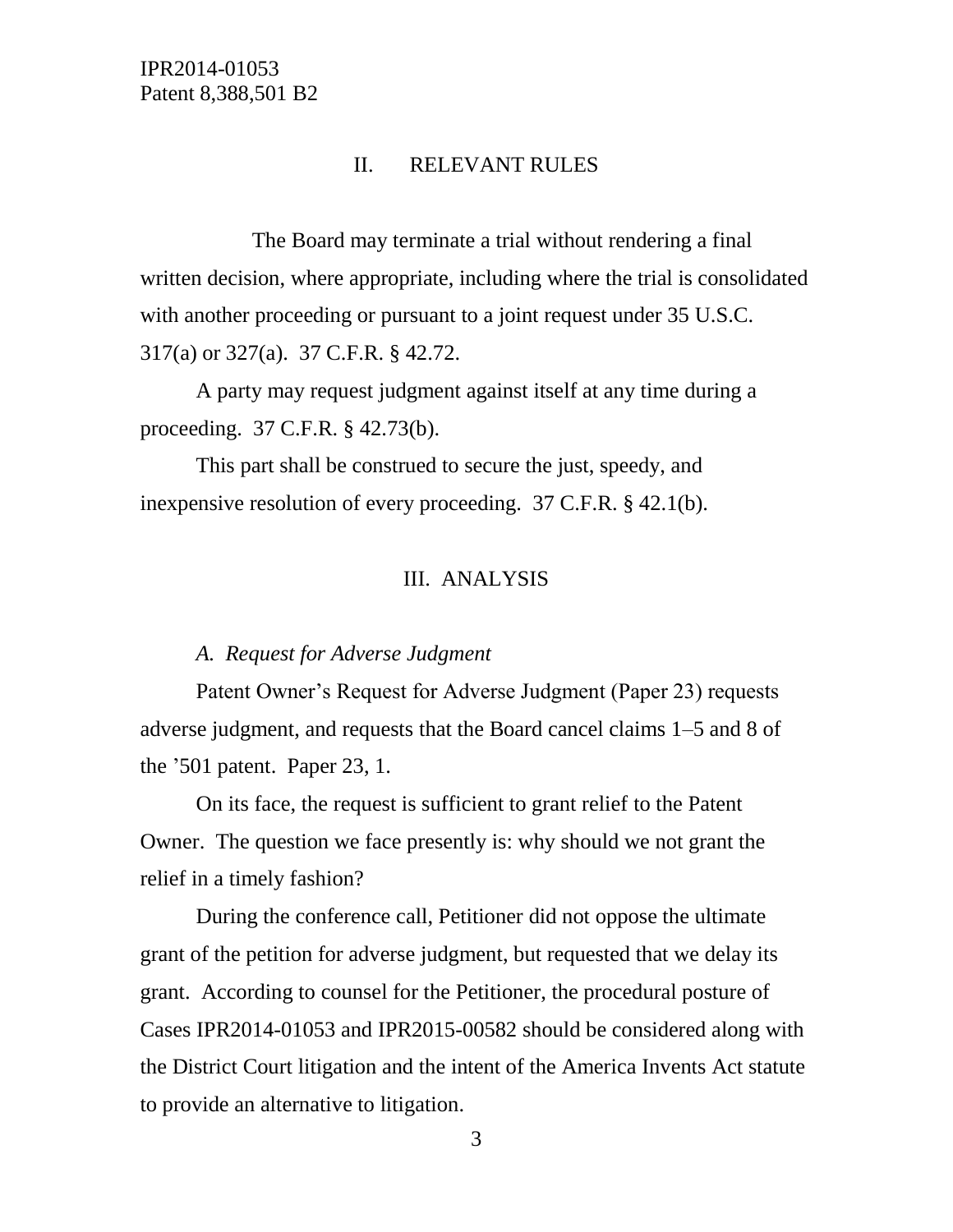### II. RELEVANT RULES

The Board may terminate a trial without rendering a final written decision, where appropriate, including where the trial is consolidated with another proceeding or pursuant to a joint request under 35 U.S.C. 317(a) or 327(a). 37 C.F.R. § 42.72.

A party may request judgment against itself at any time during a proceeding. 37 C.F.R. § 42.73(b).

This part shall be construed to secure the just, speedy, and inexpensive resolution of every proceeding. 37 C.F.R. § 42.1(b).

#### III. ANALYSIS

#### *A. Request for Adverse Judgment*

Patent Owner's Request for Adverse Judgment (Paper 23) requests adverse judgment, and requests that the Board cancel claims 1–5 and 8 of the '501 patent. Paper 23, 1.

On its face, the request is sufficient to grant relief to the Patent Owner. The question we face presently is: why should we not grant the relief in a timely fashion?

During the conference call, Petitioner did not oppose the ultimate grant of the petition for adverse judgment, but requested that we delay its grant. According to counsel for the Petitioner, the procedural posture of Cases IPR2014-01053 and IPR2015-00582 should be considered along with the District Court litigation and the intent of the America Invents Act statute to provide an alternative to litigation.

3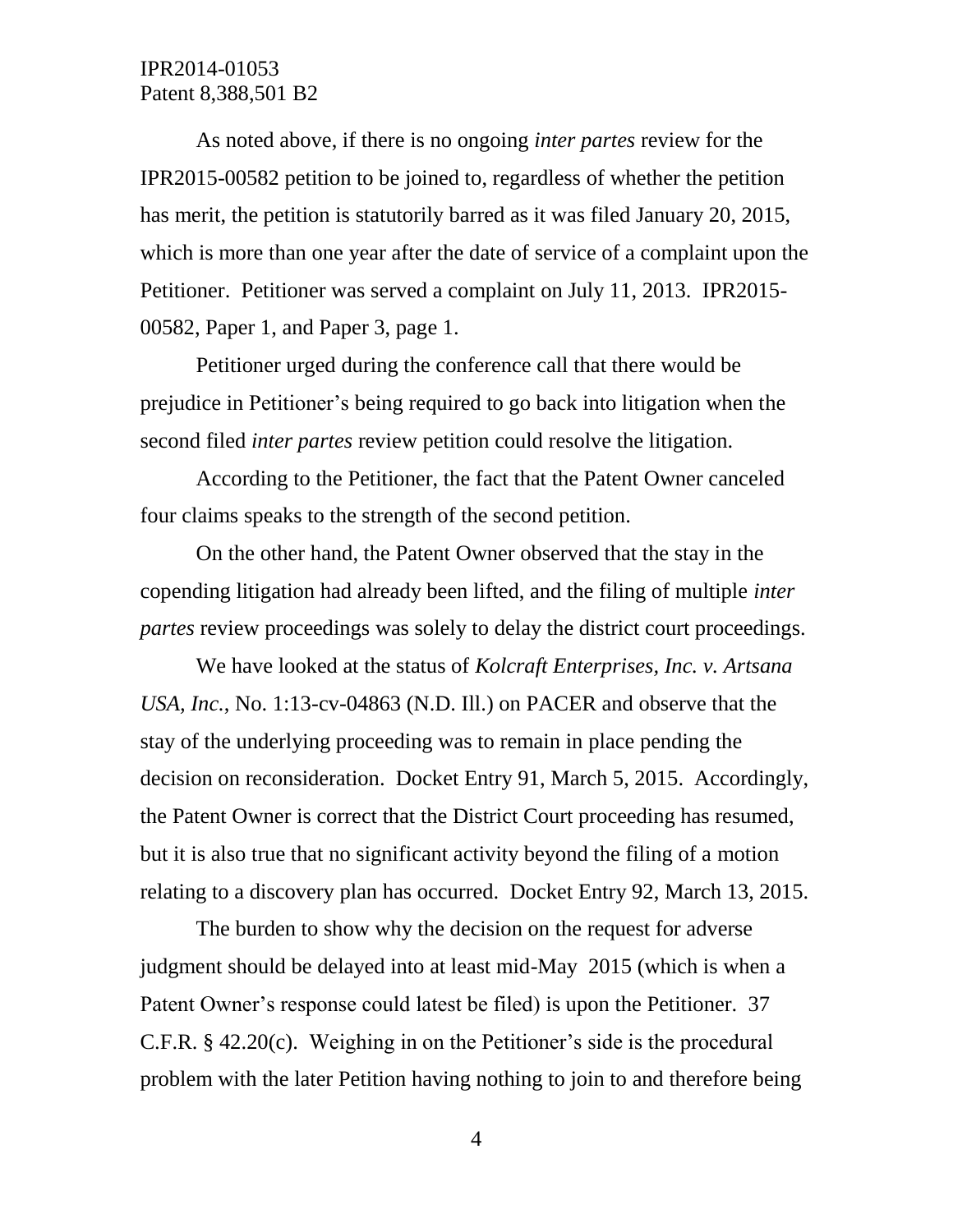# IPR2014-01053 Patent 8,388,501 B2

As noted above, if there is no ongoing *inter partes* review for the IPR2015-00582 petition to be joined to, regardless of whether the petition has merit, the petition is statutorily barred as it was filed January 20, 2015, which is more than one year after the date of service of a complaint upon the Petitioner. Petitioner was served a complaint on July 11, 2013. IPR2015- 00582, Paper 1, and Paper 3, page 1.

Petitioner urged during the conference call that there would be prejudice in Petitioner's being required to go back into litigation when the second filed *inter partes* review petition could resolve the litigation.

According to the Petitioner, the fact that the Patent Owner canceled four claims speaks to the strength of the second petition.

On the other hand, the Patent Owner observed that the stay in the copending litigation had already been lifted, and the filing of multiple *inter partes* review proceedings was solely to delay the district court proceedings.

We have looked at the status of *Kolcraft Enterprises, Inc. v. Artsana USA, Inc.*, No. 1:13-cv-04863 (N.D. Ill.) on PACER and observe that the stay of the underlying proceeding was to remain in place pending the decision on reconsideration. Docket Entry 91, March 5, 2015. Accordingly, the Patent Owner is correct that the District Court proceeding has resumed, but it is also true that no significant activity beyond the filing of a motion relating to a discovery plan has occurred. Docket Entry 92, March 13, 2015.

The burden to show why the decision on the request for adverse judgment should be delayed into at least mid-May 2015 (which is when a Patent Owner's response could latest be filed) is upon the Petitioner. 37 C.F.R. § 42.20(c). Weighing in on the Petitioner's side is the procedural problem with the later Petition having nothing to join to and therefore being

4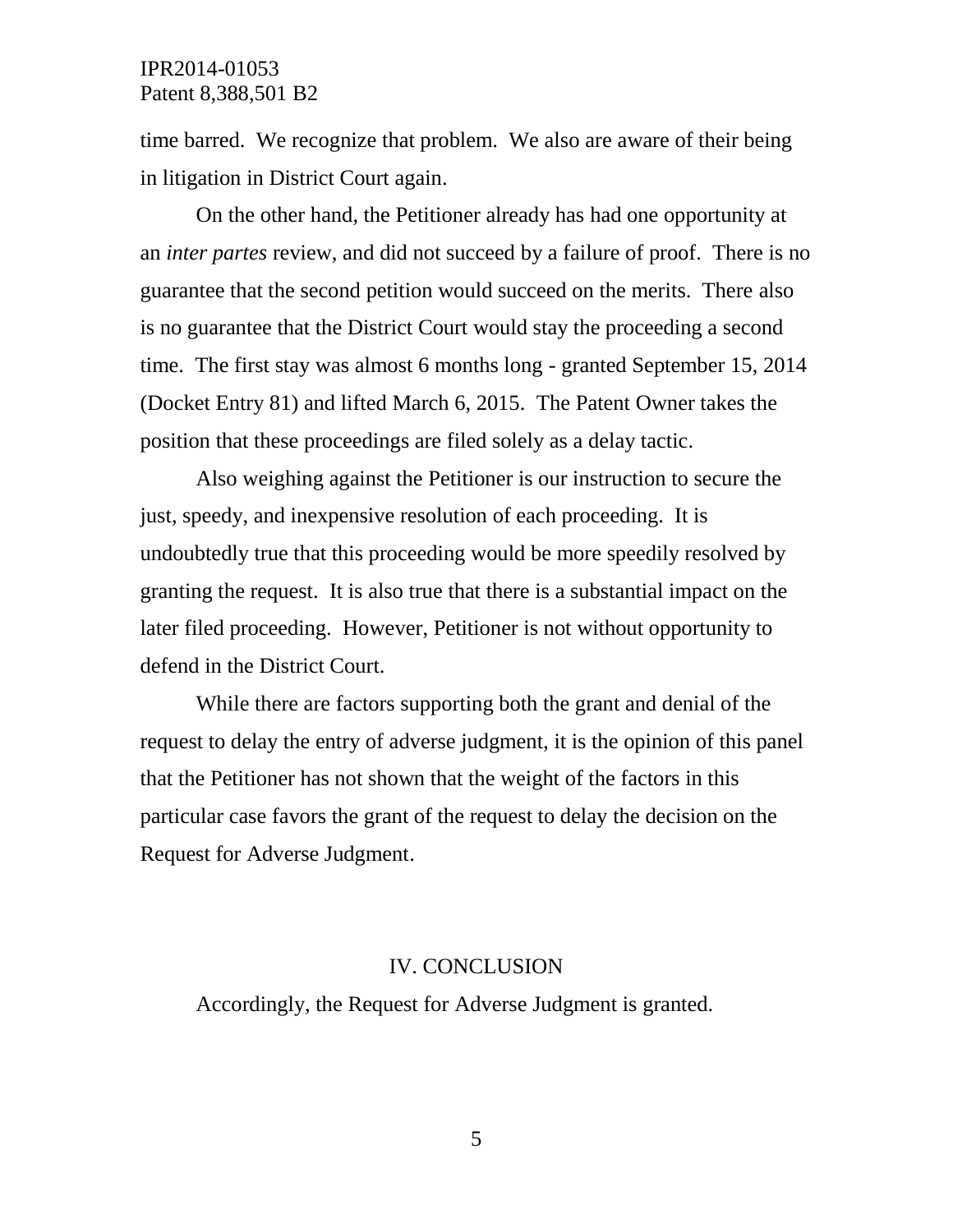### IPR2014-01053 Patent 8,388,501 B2

time barred. We recognize that problem. We also are aware of their being in litigation in District Court again.

On the other hand, the Petitioner already has had one opportunity at an *inter partes* review, and did not succeed by a failure of proof. There is no guarantee that the second petition would succeed on the merits. There also is no guarantee that the District Court would stay the proceeding a second time. The first stay was almost 6 months long - granted September 15, 2014 (Docket Entry 81) and lifted March 6, 2015. The Patent Owner takes the position that these proceedings are filed solely as a delay tactic.

Also weighing against the Petitioner is our instruction to secure the just, speedy, and inexpensive resolution of each proceeding. It is undoubtedly true that this proceeding would be more speedily resolved by granting the request. It is also true that there is a substantial impact on the later filed proceeding. However, Petitioner is not without opportunity to defend in the District Court.

While there are factors supporting both the grant and denial of the request to delay the entry of adverse judgment, it is the opinion of this panel that the Petitioner has not shown that the weight of the factors in this particular case favors the grant of the request to delay the decision on the Request for Adverse Judgment.

#### IV. CONCLUSION

Accordingly, the Request for Adverse Judgment is granted.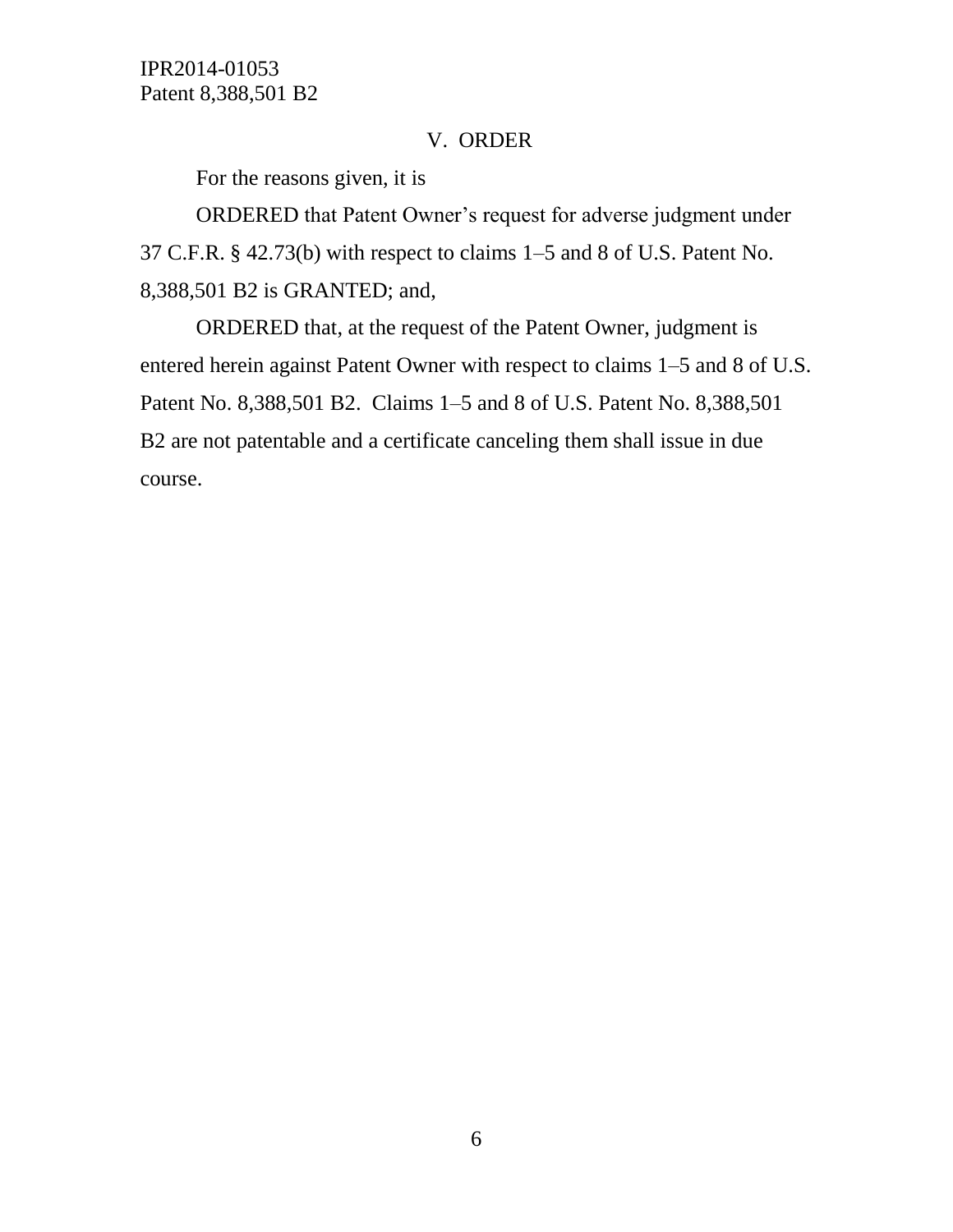# V. ORDER

For the reasons given, it is

ORDERED that Patent Owner's request for adverse judgment under 37 C.F.R. § 42.73(b) with respect to claims 1–5 and 8 of U.S. Patent No. 8,388,501 B2 is GRANTED; and,

ORDERED that, at the request of the Patent Owner, judgment is entered herein against Patent Owner with respect to claims 1–5 and 8 of U.S. Patent No. 8,388,501 B2. Claims 1–5 and 8 of U.S. Patent No. 8,388,501 B2 are not patentable and a certificate canceling them shall issue in due course.